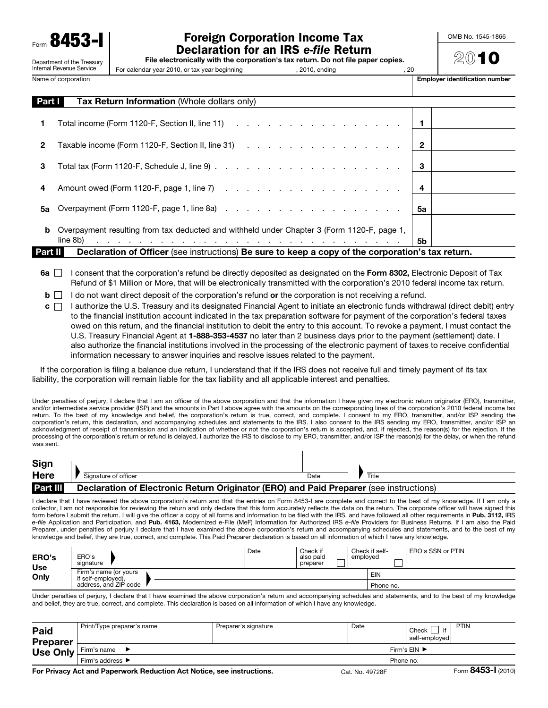8453

Department of the Treasury Internal Revenue Service

## Foreign Corporation Income Tax Declaration for an IRS *e-file* Return

OMB No. 1545-1866

 $20$ 10

|  | File electronically with the corporation's tax return. Do not file paper copies. |  |
|--|----------------------------------------------------------------------------------|--|
|--|----------------------------------------------------------------------------------|--|

For calendar year 2010, or tax year beginning , 2010, ending , 2010, ending , 20

Name of corporation extensive to the corporation of the corporation number of the corporation number identification number

| <b>Part T</b> | <b>Tax Return Information (Whole dollars only)</b>                                                                                                                                                                                        |                |  |
|---------------|-------------------------------------------------------------------------------------------------------------------------------------------------------------------------------------------------------------------------------------------|----------------|--|
| 1.            |                                                                                                                                                                                                                                           | $\blacksquare$ |  |
| $\mathbf{2}$  | Taxable income (Form 1120-F, Section II, line 31) (and a set of a set of a set of a set of a set of a set of a                                                                                                                            | $\mathbf{2}$   |  |
| 3             |                                                                                                                                                                                                                                           | 3              |  |
| 4             |                                                                                                                                                                                                                                           | -4             |  |
| 5а            |                                                                                                                                                                                                                                           | 5а             |  |
|               | <b>b</b> Overpayment resulting from tax deducted and withheld under Chapter 3 (Form 1120-F, page 1,                                                                                                                                       |                |  |
|               | and a constitution of the constitution of the constitution of the constitution of the constitution of the constitution of the constitution of the constitution of the constitution of the constitution of the constitution of<br>line 8b) | 5b             |  |
| Part II I     | Declaration of Officer (see instructions) Be sure to keep a copy of the corporation's tax return.                                                                                                                                         |                |  |

- 6a  $\Box$  I consent that the corporation's refund be directly deposited as designated on the Form 8302, Electronic Deposit of Tax Refund of \$1 Million or More, that will be electronically transmitted with the corporation's 2010 federal income tax return.
- $\mathbf{b}$  I do not want direct deposit of the corporation's refund or the corporation is not receiving a refund.
- $c \cap$  I authorize the U.S. Treasury and its designated Financial Agent to initiate an electronic funds withdrawal (direct debit) entry to the financial institution account indicated in the tax preparation software for payment of the corporation's federal taxes owed on this return, and the financial institution to debit the entry to this account. To revoke a payment, I must contact the U.S. Treasury Financial Agent at 1-888-353-4537 no later than 2 business days prior to the payment (settlement) date. I also authorize the financial institutions involved in the processing of the electronic payment of taxes to receive confidential information necessary to answer inquiries and resolve issues related to the payment.

If the corporation is filing a balance due return, I understand that if the IRS does not receive full and timely payment of its tax liability, the corporation will remain liable for the tax liability and all applicable interest and penalties.

Under penalties of perjury, I declare that I am an officer of the above corporation and that the information I have given my electronic return originator (ERO), transmitter, and/or intermediate service provider (ISP) and the amounts in Part I above agree with the amounts on the corresponding lines of the corporation's 2010 federal income tax return. To the best of my knowledge and belief, the corporation's return is true, correct, and complete. I consent to my ERO, transmitter, and/or ISP sending the corporation's return, this declaration, and accompanying schedules and statements to the IRS. I also consent to the IRS sending my ERO, transmitter, and/or ISP an acknowledgment of receipt of transmission and an indication of whether or not the corporation's return is accepted, and, if rejected, the reason(s) for the rejection. If the processing of the corporation's return or refund is delayed, I authorize the IRS to disclose to my ERO, transmitter, and/or ISP the reason(s) for the delay, or when the refund was sent.

 $\overline{\phantom{a}}$ 

| Sign            |                                                                                        |      |       |
|-----------------|----------------------------------------------------------------------------------------|------|-------|
| <b>Here</b>     | Signature of officer                                                                   | Date | Title |
| <b>Part III</b> | Declaration of Electronic Return Originator (ERO) and Paid Preparer (see instructions) |      |       |

I declare that I have reviewed the above corporation's return and that the entries on Form 8453-I are complete and correct to the best of my knowledge. If I am only a collector, I am not responsible for reviewing the return and only declare that this form accurately reflects the data on the return. The corporate officer will have signed this form before I submit the return. I will give the officer a copy of all forms and information to be filed with the IRS, and have followed all other requirements in Pub. 3112, IRS *e-file* Application and Participation, and Pub. 4163, Modernized e-File (MeF) Information for Authorized IRS *e-file* Providers for Business Returns. If I am also the Paid Preparer, under penalties of perjury I declare that I have examined the above corporation's return and accompanying schedules and statements, and to the best of my knowledge and belief, they are true, correct, and complete. This Paid Preparer declaration is based on all information of which I have any knowledge.

| <b>ERO's</b><br><b>Use</b><br>Only | ERO's<br>signature                          | Date | Check if<br>also paid<br>preparer | Check if self-<br>employed | ERO's SSN or PTIN |
|------------------------------------|---------------------------------------------|------|-----------------------------------|----------------------------|-------------------|
|                                    | Firm's name (or yours<br>if self-employed), |      |                                   | EIN                        |                   |
|                                    | address, and ZIP code                       |      |                                   | Phone no.                  |                   |

Under penalties of perjury, I declare that I have examined the above corporation's return and accompanying schedules and statements, and to the best of my knowledge and belief, they are true, correct, and complete. This declaration is based on all information of which I have any knowledge.

| Paid<br><b>Preparer</b><br>Use Only | Print/Type preparer's name | Preparer's signature | Date                               | if<br>Check<br>self-employed | PTIN     |
|-------------------------------------|----------------------------|----------------------|------------------------------------|------------------------------|----------|
|                                     | Firm's name                |                      | Firm's $EIN$ $\blacktriangleright$ |                              |          |
|                                     | Firm's address ▶           |                      | Phone no.                          |                              |          |
|                                     |                            |                      |                                    |                              | $\cdots$ |

For Privacy Act and Paperwork Reduction Act Notice, see instructions. Cat. No. 49728F Form 8453-I (2010)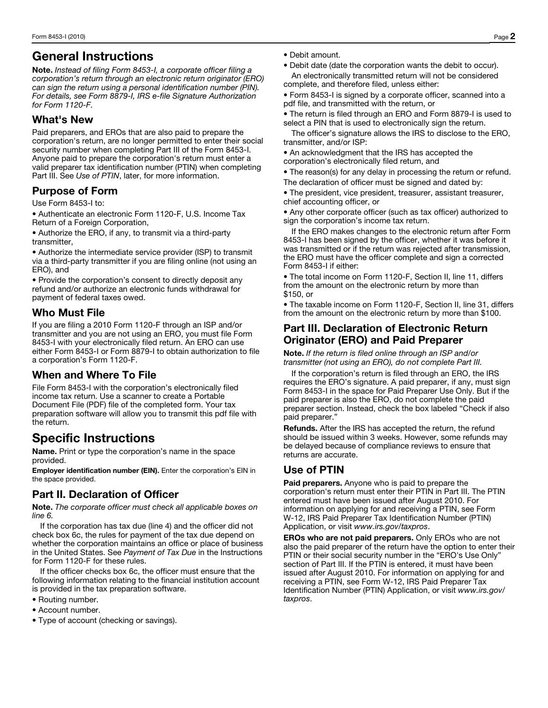## General Instructions

Note. *Instead of filing Form 8453-I, a corporate officer filing a corporation's return through an electronic return originator (ERO) can sign the return using a personal identification number (PIN). For details, see Form 8879-I, IRS e-file Signature Authorization for Form 1120-F.*

## What's New

Paid preparers, and EROs that are also paid to prepare the corporation's return, are no longer permitted to enter their social security number when completing Part III of the Form 8453-I. Anyone paid to prepare the corporation's return must enter a valid preparer tax identification number (PTIN) when completing Part III. See *Use of PTIN*, later, for more information.

#### Purpose of Form

Use Form 8453-I to:

• Authenticate an electronic Form 1120-F, U.S. Income Tax Return of a Foreign Corporation,

• Authorize the ERO, if any, to transmit via a third-party transmitter,

• Authorize the intermediate service provider (ISP) to transmit via a third-party transmitter if you are filing online (not using an ERO), and

• Provide the corporation's consent to directly deposit any refund and/or authorize an electronic funds withdrawal for payment of federal taxes owed.

## Who Must File

If you are filing a 2010 Form 1120-F through an ISP and/or transmitter and you are not using an ERO, you must file Form 8453-I with your electronically filed return. An ERO can use either Form 8453-I or Form 8879-I to obtain authorization to file a corporation's Form 1120-F.

## When and Where To File

File Form 8453-I with the corporation's electronically filed income tax return. Use a scanner to create a Portable Document File (PDF) file of the completed form. Your tax preparation software will allow you to transmit this pdf file with the return.

# Specific Instructions

Name. Print or type the corporation's name in the space provided.

Employer identification number (EIN). Enter the corporation's EIN in the space provided.

## Part II. Declaration of Officer

Note. *The corporate officer must check all applicable boxes on line 6.* 

If the corporation has tax due (line 4) and the officer did not check box 6c, the rules for payment of the tax due depend on whether the corporation maintains an office or place of business in the United States. See *Payment of Tax Due* in the Instructions for Form 1120-F for these rules.

If the officer checks box 6c, the officer must ensure that the following information relating to the financial institution account is provided in the tax preparation software.

- Routing number.
- Account number.
- Type of account (checking or savings).
- Debit amount.
- Debit date (date the corporation wants the debit to occur). An electronically transmitted return will not be considered complete, and therefore filed, unless either:
- Form 8453-I is signed by a corporate officer, scanned into a pdf file, and transmitted with the return, or

• The return is filed through an ERO and Form 8879-I is used to select a PIN that is used to electronically sign the return.

The officer's signature allows the IRS to disclose to the ERO, transmitter, and/or ISP:

• An acknowledgment that the IRS has accepted the corporation's electronically filed return, and

• The reason(s) for any delay in processing the return or refund. The declaration of officer must be signed and dated by:

• The president, vice president, treasurer, assistant treasurer, chief accounting officer, or

• Any other corporate officer (such as tax officer) authorized to sign the corporation's income tax return.

If the ERO makes changes to the electronic return after Form 8453-I has been signed by the officer, whether it was before it was transmitted or if the return was rejected after transmission, the ERO must have the officer complete and sign a corrected Form 8453-I if either:

• The total income on Form 1120-F, Section II, line 11, differs from the amount on the electronic return by more than \$150, or

• The taxable income on Form 1120-F, Section II, line 31, differs from the amount on the electronic return by more than \$100.

#### Part III. Declaration of Electronic Return Originator (ERO) and Paid Preparer

Note. *If the return is filed online through an ISP and/or transmitter (not using an ERO), do not complete Part III.*

If the corporation's return is filed through an ERO, the IRS requires the ERO's signature. A paid preparer, if any, must sign Form 8453-I in the space for Paid Preparer Use Only. But if the paid preparer is also the ERO, do not complete the paid preparer section. Instead, check the box labeled "Check if also paid preparer."

Refunds. After the IRS has accepted the return, the refund should be issued within 3 weeks. However, some refunds may be delayed because of compliance reviews to ensure that returns are accurate.

## Use of PTIN

**Paid preparers.** Anyone who is paid to prepare the corporation's return must enter their PTIN in Part III. The PTIN entered must have been issued after August 2010. For information on applying for and receiving a PTIN, see Form W-12, IRS Paid Preparer Tax Identification Number (PTIN) Application, or visit *www.irs.gov/taxpros*.

EROs who are not paid preparers. Only EROs who are not also the paid preparer of the return have the option to enter their PTIN or their social security number in the "ERO's Use Only" section of Part III. If the PTIN is entered, it must have been issued after August 2010. For information on applying for and receiving a PTIN, see Form W-12, IRS Paid Preparer Tax Identification Number (PTIN) Application, or visit *www.irs.gov/ taxpros*.